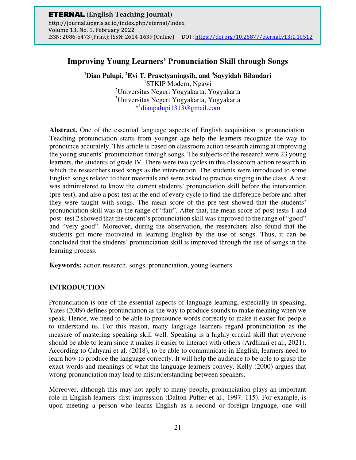# **Improving Young Learners' Pronunciation Skill through Songs**

**<sup>1</sup>Dian Palupi, <sup>2</sup>Evi T. Prasetyaningsih, and <sup>3</sup>Sayyidah Bilandari** 

STKIP Modern, Ngawi Universitas Negeri Yogyakarta, Yogyakarta Universitas Negeri Yogyakarta, Yogyakarta \* 1 [dianpalupi1313@gmail.com](mailto:dianpalupi1313@gmail.com)

**Abstract.** One of the essential language aspects of English acquisition is pronunciation. Teaching pronunciation starts from younger age help the learners recognize the way to pronounce accurately. This article is based on classroom action research aiming at improving the young students' pronunciation through songs. The subjects of the research were 23 young learners, the students of grade IV. There were two cycles in this classroom action research in which the researchers used songs as the intervention. The students were introduced to some English songs related to their materials and were asked to practice singing in the class. A test was administered to know the current students' pronunciation skill before the intervention (pre-test), and also a post-test at the end of every cycle to find the difference before and after they were taught with songs. The mean score of the pre-test showed that the students' pronunciation skill was in the range of "fair". After that, the mean score of post-tests 1 and post- test 2 showed that the student's pronunciation skill was improved to the range of "good" and "very good". Moreover, during the observation, the researchers also found that the students got more motivated in learning English by the use of songs. Thus, it can be concluded that the students' pronunciation skill is improved through the use of songs in the learning process.

**Keywords:** action research, songs, pronunciation, young learners

## **INTRODUCTION**

Pronunciation is one of the essential aspects of language learning, especially in speaking. Yates (2009) defines pronunciation as the way to produce sounds to make meaning when we speak. Hence, we need to be able to pronounce words correctly to make it easier for people to understand us. For this reason, many language learners regard pronunciation as the measure of mastering speaking skill well. Speaking is a highly crucial skill that everyone should be able to learn since it makes it easier to interact with others (Ardhiani et al., 2021). According to Cahyani et al. (2018), to be able to communicate in English, learners need to learn how to produce the language correctly. It will help the audience to be able to grasp the exact words and meanings of what the language learners convey. Kelly (2000) argues that wrong pronunciation may lead to misunderstanding between speakers.

Moreover, although this may not apply to many people, pronunciation plays an important role in English learners' first impression (Dalton-Puffer et al., 1997: 115). For example, is upon meeting a person who learns English as a second or foreign language, one will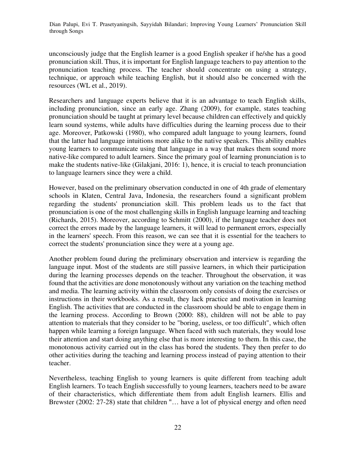unconsciously judge that the English learner is a good English speaker if he/she has a good pronunciation skill. Thus, it is important for English language teachers to pay attention to the pronunciation teaching process. The teacher should concentrate on using a strategy, technique, or approach while teaching English, but it should also be concerned with the resources (WL et al., 2019).

Researchers and language experts believe that it is an advantage to teach English skills, including pronunciation, since an early age. Zhang (2009), for example, states teaching pronunciation should be taught at primary level because children can effectively and quickly learn sound systems, while adults have difficulties during the learning process due to their age. Moreover, Patkowski (1980), who compared adult language to young learners, found that the latter had language intuitions more alike to the native speakers. This ability enables young learners to communicate using that language in a way that makes them sound more native-like compared to adult learners. Since the primary goal of learning pronunciation is to make the students native-like (Gilakjani, 2016: 1), hence, it is crucial to teach pronunciation to language learners since they were a child.

However, based on the preliminary observation conducted in one of 4th grade of elementary schools in Klaten, Central Java, Indonesia, the researchers found a significant problem regarding the students' pronunciation skill. This problem leads us to the fact that pronunciation is one of the most challenging skills in English language learning and teaching (Richards, 2015). Moreover, according to Schmitt (2000), if the language teacher does not correct the errors made by the language learners, it will lead to permanent errors, especially in the learners' speech. From this reason, we can see that it is essential for the teachers to correct the students' pronunciation since they were at a young age.

Another problem found during the preliminary observation and interview is regarding the language input. Most of the students are still passive learners, in which their participation during the learning processes depends on the teacher. Throughout the observation, it was found that the activities are done monotonously without any variation on the teaching method and media. The learning activity within the classroom only consists of doing the exercises or instructions in their workbooks. As a result, they lack practice and motivation in learning English. The activities that are conducted in the classroom should be able to engage them in the learning process. According to Brown (2000: 88), children will not be able to pay attention to materials that they consider to be "boring, useless, or too difficult", which often happen while learning a foreign language. When faced with such materials, they would lose their attention and start doing anything else that is more interesting to them. In this case, the monotonous activity carried out in the class has bored the students. They then prefer to do other activities during the teaching and learning process instead of paying attention to their teacher.

Nevertheless, teaching English to young learners is quite different from teaching adult English learners. To teach English successfully to young learners, teachers need to be aware of their characteristics, which differentiate them from adult English learners. Ellis and Brewster (2002: 27-28) state that children "… have a lot of physical energy and often need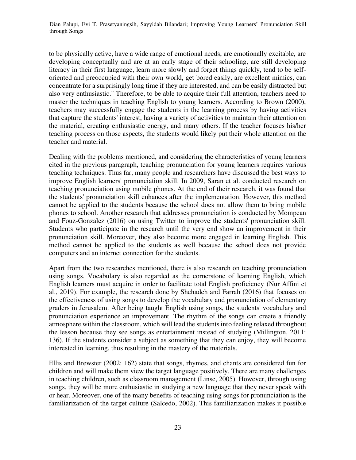to be physically active, have a wide range of emotional needs, are emotionally excitable, are developing conceptually and are at an early stage of their schooling, are still developing literacy in their first language, learn more slowly and forget things quickly, tend to be selforiented and preoccupied with their own world, get bored easily, are excellent mimics, can concentrate for a surprisingly long time if they are interested, and can be easily distracted but also very enthusiastic." Therefore, to be able to acquire their full attention, teachers need to master the techniques in teaching English to young learners. According to Brown (2000), teachers may successfully engage the students in the learning process by having activities that capture the students' interest, having a variety of activities to maintain their attention on the material, creating enthusiastic energy, and many others. If the teacher focuses his/her teaching process on those aspects, the students would likely put their whole attention on the teacher and material.

Dealing with the problems mentioned, and considering the characteristics of young learners cited in the previous paragraph, teaching pronunciation for young learners requires various teaching techniques. Thus far, many people and researchers have discussed the best ways to improve English learners' pronunciation skill. In 2009, Saran et al. conducted research on teaching pronunciation using mobile phones. At the end of their research, it was found that the students' pronunciation skill enhances after the implementation. However, this method cannot be applied to the students because the school does not allow them to bring mobile phones to school. Another research that addresses pronunciation is conducted by Mompean and Fouz-Gonzalez (2016) on using Twitter to improve the students' pronunciation skill. Students who participate in the research until the very end show an improvement in their pronunciation skill. Moreover, they also become more engaged in learning English. This method cannot be applied to the students as well because the school does not provide computers and an internet connection for the students.

Apart from the two researches mentioned, there is also research on teaching pronunciation using songs. Vocabulary is also regarded as the cornerstone of learning English, which English learners must acquire in order to facilitate total English proficiency (Nur Affini et al., 2019). For example, the research done by Shehadeh and Farrah (2016) that focuses on the effectiveness of using songs to develop the vocabulary and pronunciation of elementary graders in Jerusalem. After being taught English using songs, the students' vocabulary and pronunciation experience an improvement. The rhythm of the songs can create a friendly atmosphere within the classroom, which will lead the students into feeling relaxed throughout the lesson because they see songs as entertainment instead of studying (Millington, 2011: 136). If the students consider a subject as something that they can enjoy, they will become interested in learning, thus resulting in the mastery of the materials.

Ellis and Brewster (2002: 162) state that songs, rhymes, and chants are considered fun for children and will make them view the target language positively. There are many challenges in teaching children, such as classroom management (Linse, 2005). However, through using songs, they will be more enthusiastic in studying a new language that they never speak with or hear. Moreover, one of the many benefits of teaching using songs for pronunciation is the familiarization of the target culture (Salcedo, 2002). This familiarization makes it possible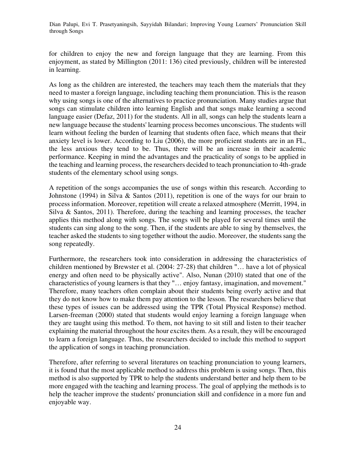for children to enjoy the new and foreign language that they are learning. From this enjoyment, as stated by Millington (2011: 136) cited previously, children will be interested in learning.

As long as the children are interested, the teachers may teach them the materials that they need to master a foreign language, including teaching them pronunciation. This is the reason why using songs is one of the alternatives to practice pronunciation. Many studies argue that songs can stimulate children into learning English and that songs make learning a second language easier (Defaz, 2011) for the students. All in all, songs can help the students learn a new language because the students' learning process becomes unconscious. The students will learn without feeling the burden of learning that students often face, which means that their anxiety level is lower. According to Liu (2006), the more proficient students are in an FL, the less anxious they tend to be. Thus, there will be an increase in their academic performance. Keeping in mind the advantages and the practicality of songs to be applied in the teaching and learning process, the researchers decided to teach pronunciation to 4th-grade students of the elementary school using songs.

A repetition of the songs accompanies the use of songs within this research. According to Johnstone (1994) in Silva & Santos (2011), repetition is one of the ways for our brain to process information. Moreover, repetition will create a relaxed atmosphere (Merritt, 1994, in Silva & Santos, 2011). Therefore, during the teaching and learning processes, the teacher applies this method along with songs. The songs will be played for several times until the students can sing along to the song. Then, if the students are able to sing by themselves, the teacher asked the students to sing together without the audio. Moreover, the students sang the song repeatedly.

Furthermore, the researchers took into consideration in addressing the characteristics of children mentioned by Brewster et al. (2004: 27-28) that children "… have a lot of physical energy and often need to be physically active". Also, Nunan (2010) stated that one of the characteristics of young learners is that they "… enjoy fantasy, imagination, and movement." Therefore, many teachers often complain about their students being overly active and that they do not know how to make them pay attention to the lesson. The researchers believe that these types of issues can be addressed using the TPR (Total Physical Response) method. Larsen-freeman (2000) stated that students would enjoy learning a foreign language when they are taught using this method. To them, not having to sit still and listen to their teacher explaining the material throughout the hour excites them. As a result, they will be encouraged to learn a foreign language. Thus, the researchers decided to include this method to support the application of songs in teaching pronunciation.

Therefore, after referring to several literatures on teaching pronunciation to young learners, it is found that the most applicable method to address this problem is using songs. Then, this method is also supported by TPR to help the students understand better and help them to be more engaged with the teaching and learning process. The goal of applying the methods is to help the teacher improve the students' pronunciation skill and confidence in a more fun and enjoyable way.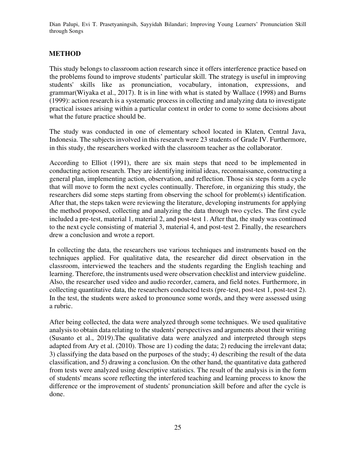### **METHOD**

This study belongs to classroom action research since it offers interference practice based on the problems found to improve students' particular skill. The strategy is useful in improving students' skills like as pronunciation, vocabulary, intonation, expressions, and grammar(Wiyaka et al., 2017). It is in line with what is stated by Wallace (1998) and Burns (1999): action research is a systematic process in collecting and analyzing data to investigate practical issues arising within a particular context in order to come to some decisions about what the future practice should be.

The study was conducted in one of elementary school located in Klaten, Central Java, Indonesia. The subjects involved in this research were 23 students of Grade IV. Furthermore, in this study, the researchers worked with the classroom teacher as the collaborator.

According to Elliot (1991), there are six main steps that need to be implemented in conducting action research. They are identifying initial ideas, reconnaissance, constructing a general plan, implementing action, observation, and reflection. Those six steps form a cycle that will move to form the next cycles continually. Therefore, in organizing this study, the researchers did some steps starting from observing the school for problem(s) identification. After that, the steps taken were reviewing the literature, developing instruments for applying the method proposed, collecting and analyzing the data through two cycles. The first cycle included a pre-test, material 1, material 2, and post-test 1. After that, the study was continued to the next cycle consisting of material 3, material 4, and post-test 2. Finally, the researchers drew a conclusion and wrote a report.

In collecting the data, the researchers use various techniques and instruments based on the techniques applied. For qualitative data, the researcher did direct observation in the classroom, interviewed the teachers and the students regarding the English teaching and learning. Therefore, the instruments used were observation checklist and interview guideline. Also, the researcher used video and audio recorder, camera, and field notes. Furthermore, in collecting quantitative data, the researchers conducted tests (pre-test, post-test 1, post-test 2). In the test, the students were asked to pronounce some words, and they were assessed using a rubric.

After being collected, the data were analyzed through some techniques. We used qualitative analysis to obtain data relating to the students' perspectives and arguments about their writing (Susanto et al., 2019).The qualitative data were analyzed and interpreted through steps adapted from Ary et al. (2010). Those are 1) coding the data; 2) reducing the irrelevant data; 3) classifying the data based on the purposes of the study; 4) describing the result of the data classification, and 5) drawing a conclusion. On the other hand, the quantitative data gathered from tests were analyzed using descriptive statistics. The result of the analysis is in the form of students' means score reflecting the interfered teaching and learning process to know the difference or the improvement of students' pronunciation skill before and after the cycle is done.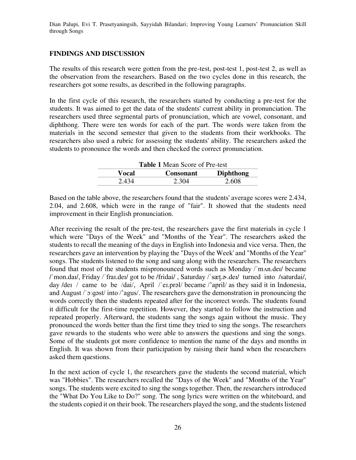#### **FINDINGS AND DISCUSSION**

The results of this research were gotten from the pre-test, post-test 1, post-test 2, as well as the observation from the researchers. Based on the two cycles done in this research, the researchers got some results, as described in the following paragraphs.

In the first cycle of this research, the researchers started by conducting a pre-test for the students. It was aimed to get the data of the students' current ability in pronunciation. The researchers used three segmental parts of pronunciation, which are vowel, consonant, and diphthong. There were ten words for each of the part. The words were taken from the materials in the second semester that given to the students from their workbooks. The researchers also used a rubric for assessing the students' ability. The researchers asked the students to pronounce the words and then checked the correct pronunciation.

| <b>Table 1 Mean Score of Pre-test</b> |                  |                  |  |
|---------------------------------------|------------------|------------------|--|
| Vocal                                 | <b>Consonant</b> | <b>Diphthong</b> |  |
| 2.434                                 | 2.304            | 2.608            |  |

Based on the table above, the researchers found that the students' average scores were 2.434, 2.04, and 2.608, which were in the range of "fair". It showed that the students need improvement in their English pronunciation.

After receiving the result of the pre-test, the researchers gave the first materials in cycle 1 which were "Days of the Week" and "Months of the Year". The researchers asked the students to recall the meaning of the days in English into Indonesia and vice versa. Then, the researchers gave an intervention by playing the "Days of the Week' and "Months of the Year" songs. The students listened to the song and sang along with the researchers. The researchers found that most of the students mispronounced words such as Monday /ˈmʌn.deɪ/ became /ˈmon.daɪ/, Friday /ˈfraɪ.deɪ/ got to be /fridai/ , Saturday /ˈsæt̬.ɚ.deɪ/ turned into /saturdai/, day /deɪ / came to be /dai/, April /'eɪ.prəl/ became /'april/ as they said it in Indonesia, and August /ˈɔːɡəst/ into /'agus/. The researchers gave the demonstration in pronouncing the words correctly then the students repeated after for the incorrect words. The students found it difficult for the first-time repetition. However, they started to follow the instruction and repeated properly. Afterward, the students sang the songs again without the music. They pronounced the words better than the first time they tried to sing the songs. The researchers gave rewards to the students who were able to answers the questions and sing the songs. Some of the students got more confidence to mention the name of the days and months in English. It was shown from their participation by raising their hand when the researchers asked them questions.

In the next action of cycle 1, the researchers gave the students the second material, which was "Hobbies". The researchers recalled the "Days of the Week" and "Months of the Year" songs. The students were excited to sing the songs together. Then, the researchers introduced the "What Do You Like to Do?" song. The song lyrics were written on the whiteboard, and the students copied it on their book. The researchers played the song, and the students listened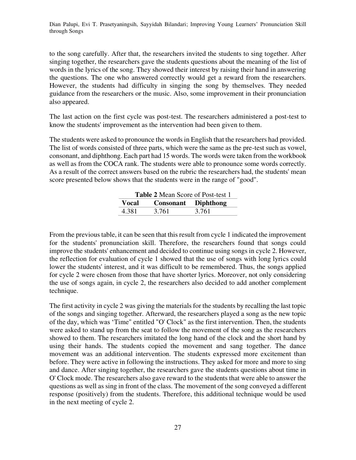to the song carefully. After that, the researchers invited the students to sing together. After singing together, the researchers gave the students questions about the meaning of the list of words in the lyrics of the song. They showed their interest by raising their hand in answering the questions. The one who answered correctly would get a reward from the researchers. However, the students had difficulty in singing the song by themselves. They needed guidance from the researchers or the music. Also, some improvement in their pronunciation also appeared.

The last action on the first cycle was post-test. The researchers administered a post-test to know the students' improvement as the intervention had been given to them.

The students were asked to pronounce the words in English that the researchers had provided. The list of words consisted of three parts, which were the same as the pre-test such as vowel, consonant, and diphthong. Each part had 15 words. The words were taken from the workbook as well as from the COCA rank. The students were able to pronounce some words correctly. As a result of the correct answers based on the rubric the researchers had, the students' mean score presented below shows that the students were in the range of "good".

| <b>Table 2 Mean Score of Post-test 1</b> |                            |       |  |  |
|------------------------------------------|----------------------------|-------|--|--|
| Vocal                                    | <b>Consonant</b> Diphthong |       |  |  |
| 4.381                                    | 3.761                      | 3.761 |  |  |

From the previous table, it can be seen that this result from cycle 1 indicated the improvement for the students' pronunciation skill. Therefore, the researchers found that songs could improve the students' enhancement and decided to continue using songs in cycle 2. However, the reflection for evaluation of cycle 1 showed that the use of songs with long lyrics could lower the students' interest, and it was difficult to be remembered. Thus, the songs applied for cycle 2 were chosen from those that have shorter lyrics. Moreover, not only considering the use of songs again, in cycle 2, the researchers also decided to add another complement technique.

The first activity in cycle 2 was giving the materials for the students by recalling the last topic of the songs and singing together. Afterward, the researchers played a song as the new topic of the day, which was 'Time" entitled "O' Clock" as the first intervention. Then, the students were asked to stand up from the seat to follow the movement of the song as the researchers showed to them. The researchers imitated the long hand of the clock and the short hand by using their hands. The students copied the movement and sang together. The dance movement was an additional intervention. The students expressed more excitement than before. They were active in following the instructions. They asked for more and more to sing and dance. After singing together, the researchers gave the students questions about time in O' Clock mode. The researchers also gave reward to the students that were able to answer the questions as well as sing in front of the class. The movement of the song conveyed a different response (positively) from the students. Therefore, this additional technique would be used in the next meeting of cycle 2.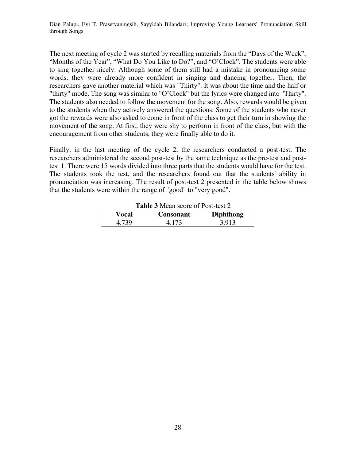The next meeting of cycle 2 was started by recalling materials from the "Days of the Week", "Months of the Year", "What Do You Like to Do?", and "O'Clock". The students were able to sing together nicely. Although some of them still had a mistake in pronouncing some words, they were already more confident in singing and dancing together. Then, the researchers gave another material which was "Thirty". It was about the time and the half or "thirty" mode. The song was similar to "O'Clock" but the lyrics were changed into "Thirty". The students also needed to follow the movement for the song. Also, rewards would be given to the students when they actively answered the questions. Some of the students who never got the rewards were also asked to come in front of the class to get their turn in showing the movement of the song. At first, they were shy to perform in front of the class, but with the encouragement from other students, they were finally able to do it.

Finally, in the last meeting of the cycle 2, the researchers conducted a post-test. The researchers administered the second post-test by the same technique as the pre-test and posttest 1. There were 15 words divided into three parts that the students would have for the test. The students took the test, and the researchers found out that the students' ability in pronunciation was increasing. The result of post-test 2 presented in the table below shows that the students were within the range of "good" to "very good".

| <b>Table 3</b> Mean score of Post-test 2 |                  |                  |  |
|------------------------------------------|------------------|------------------|--|
| Vocal                                    | <b>Consonant</b> | <b>Diphthong</b> |  |
| 4 739                                    | 4.173            | 3.913            |  |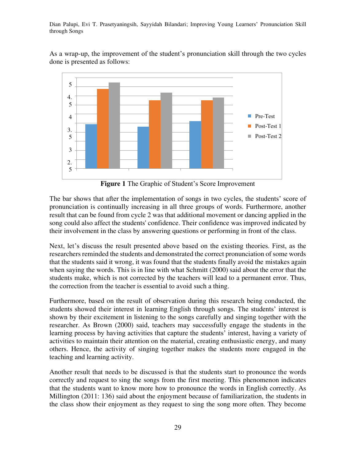As a wrap-up, the improvement of the student's pronunciation skill through the two cycles done is presented as follows:



Figure 1 The Graphic of Student's Score Improvement

The bar shows that after the implementation of songs in two cycles, the students' score of pronunciation is continually increasing in all three groups of words. Furthermore, another result that can be found from cycle 2 was that additional movement or dancing applied in the song could also affect the students' confidence. Their confidence was improved indicated by their involvement in the class by answering questions or performing in front of the class.

Next, let's discuss the result presented above based on the existing theories. First, as the researchers reminded the students and demonstrated the correct pronunciation of some words that the students said it wrong, it was found that the students finally avoid the mistakes again when saying the words. This is in line with what Schmitt (2000) said about the error that the students make, which is not corrected by the teachers will lead to a permanent error. Thus, the correction from the teacher is essential to avoid such a thing.

Furthermore, based on the result of observation during this research being conducted, the students showed their interest in learning English through songs. The students' interest is shown by their excitement in listening to the songs carefully and singing together with the researcher. As Brown (2000) said, teachers may successfully engage the students in the learning process by having activities that capture the students' interest, having a variety of activities to maintain their attention on the material, creating enthusiastic energy, and many others. Hence, the activity of singing together makes the students more engaged in the teaching and learning activity.

Another result that needs to be discussed is that the students start to pronounce the words correctly and request to sing the songs from the first meeting. This phenomenon indicates that the students want to know more how to pronounce the words in English correctly. As Millington (2011: 136) said about the enjoyment because of familiarization, the students in the class show their enjoyment as they request to sing the song more often. They become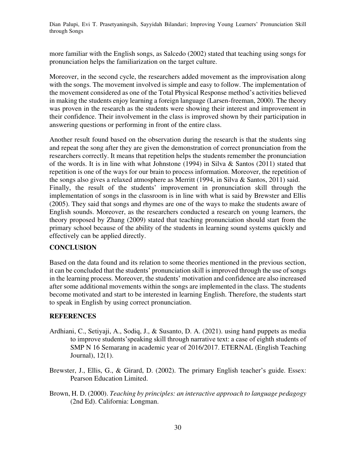more familiar with the English songs, as Salcedo (2002) stated that teaching using songs for pronunciation helps the familiarization on the target culture.

Moreover, in the second cycle, the researchers added movement as the improvisation along with the songs. The movement involved is simple and easy to follow. The implementation of the movement considered as one of the Total Physical Response method's activities believed in making the students enjoy learning a foreign language (Larsen-freeman, 2000). The theory was proven in the research as the students were showing their interest and improvement in their confidence. Their involvement in the class is improved shown by their participation in answering questions or performing in front of the entire class.

Another result found based on the observation during the research is that the students sing and repeat the song after they are given the demonstration of correct pronunciation from the researchers correctly. It means that repetition helps the students remember the pronunciation of the words. It is in line with what Johnstone (1994) in Silva & Santos (2011) stated that repetition is one of the ways for our brain to process information. Moreover, the repetition of the songs also gives a relaxed atmosphere as Merritt (1994, in Silva & Santos, 2011) said. Finally, the result of the students' improvement in pronunciation skill through the implementation of songs in the classroom is in line with what is said by Brewster and Ellis (2005). They said that songs and rhymes are one of the ways to make the students aware of English sounds. Moreover, as the researchers conducted a research on young learners, the theory proposed by Zhang (2009) stated that teaching pronunciation should start from the primary school because of the ability of the students in learning sound systems quickly and effectively can be applied directly.

### **CONCLUSION**

Based on the data found and its relation to some theories mentioned in the previous section, it can be concluded that the students' pronunciation skill is improved through the use of songs in the learning process. Moreover, the students' motivation and confidence are also increased after some additional movements within the songs are implemented in the class. The students become motivated and start to be interested in learning English. Therefore, the students start to speak in English by using correct pronunciation.

#### **REFERENCES**

- Ardhiani, C., Setiyaji, A., Sodiq, J., & Susanto, D. A. (2021). using hand puppets as media to improve students'speaking skill through narrative text: a case of eighth students of SMP N 16 Semarang in academic year of 2016/2017. ETERNAL (English Teaching Journal), 12(1).
- Brewster, J., Ellis, G., & Girard, D. (2002). The primary English teacher's guide. Essex: Pearson Education Limited.
- Brown, H. D. (2000). *Teaching by principles: an interactive approach to language pedagogy*  (2nd Ed). California: Longman.